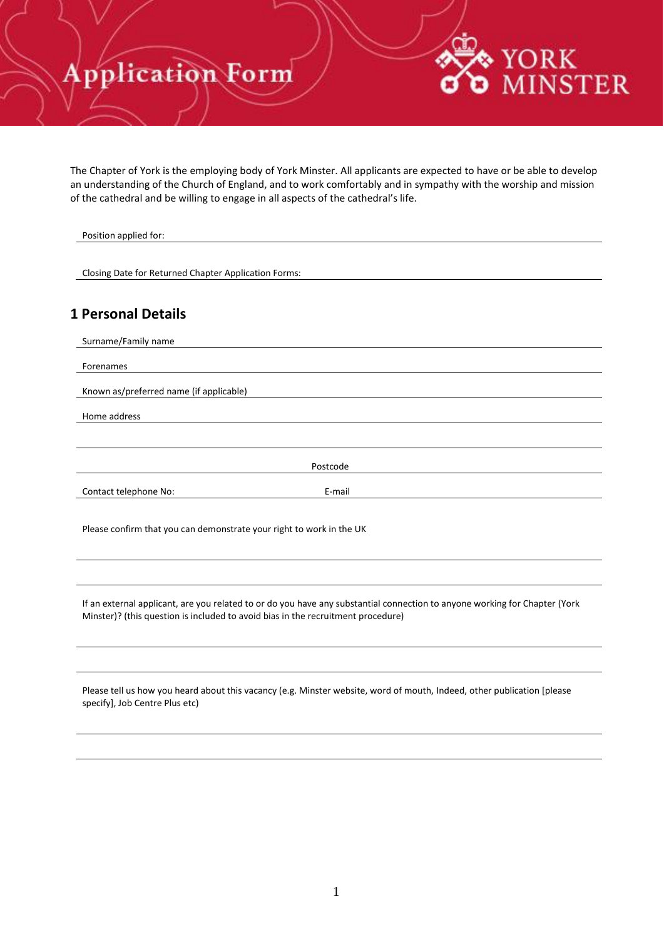#### pplication Form Ą

The Chapter of York is the employing body of York Minster. All applicants are expected to have or be able to develop an understanding of the Church of England, and to work comfortably and in sympathy with the worship and mission of the cathedral and be willing to engage in all aspects of the cathedral's life.

**YORK** 

MINSTER

| Position applied for:                                                |          |  |
|----------------------------------------------------------------------|----------|--|
|                                                                      |          |  |
| Closing Date for Returned Chapter Application Forms:                 |          |  |
|                                                                      |          |  |
| <b>1 Personal Details</b>                                            |          |  |
| Surname/Family name                                                  |          |  |
| Forenames                                                            |          |  |
| Known as/preferred name (if applicable)                              |          |  |
| Home address                                                         |          |  |
|                                                                      |          |  |
|                                                                      | Postcode |  |
| Contact telephone No:                                                | E-mail   |  |
|                                                                      |          |  |
| Please confirm that you can demonstrate your right to work in the UK |          |  |

If an external applicant, are you related to or do you have any substantial connection to anyone working for Chapter (York Minster)? (this question is included to avoid bias in the recruitment procedure)

Please tell us how you heard about this vacancy (e.g. Minster website, word of mouth, Indeed, other publication [please specify], Job Centre Plus etc)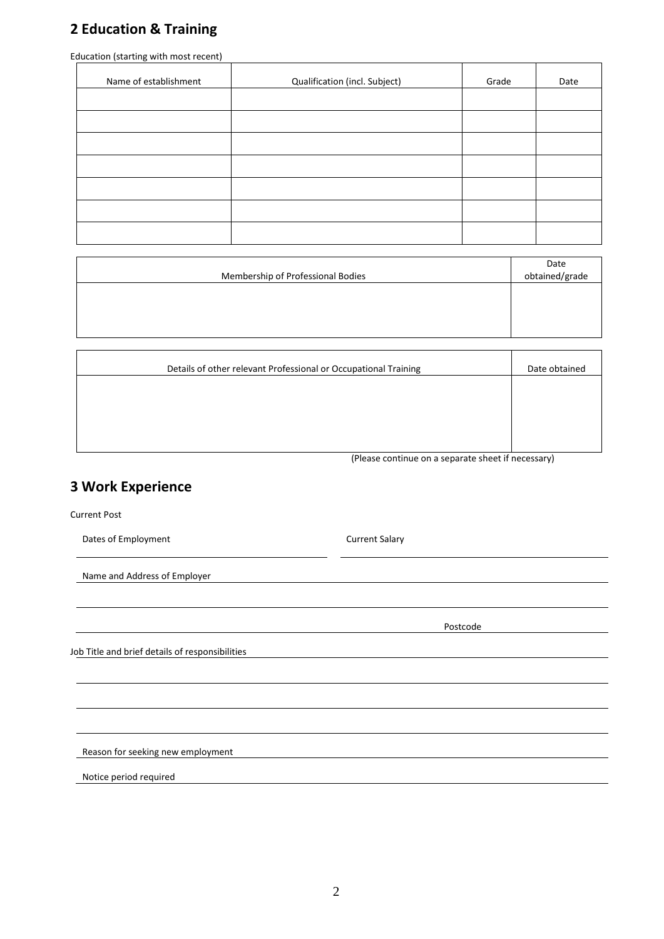# **2 Education & Training**

Education (starting with most recent)

| Name of establishment | Qualification (incl. Subject) | Grade | Date |
|-----------------------|-------------------------------|-------|------|
|                       |                               |       |      |
|                       |                               |       |      |
|                       |                               |       |      |
|                       |                               |       |      |
|                       |                               |       |      |
|                       |                               |       |      |
|                       |                               |       |      |

| Membership of Professional Bodies | Date<br>obtained/grade |
|-----------------------------------|------------------------|
|                                   |                        |
|                                   |                        |
|                                   |                        |

| Details of other relevant Professional or Occupational Training | Date obtained |
|-----------------------------------------------------------------|---------------|
|                                                                 |               |
|                                                                 |               |
|                                                                 |               |
|                                                                 |               |

(Please continue on a separate sheet if necessary)

# **3 Work Experience**

Current Post

 $\overline{1}$ 

Dates of Employment Current Salary

Name and Address of Employer

Postcode

Job Title and brief details of responsibilities

Reason for seeking new employment

Notice period required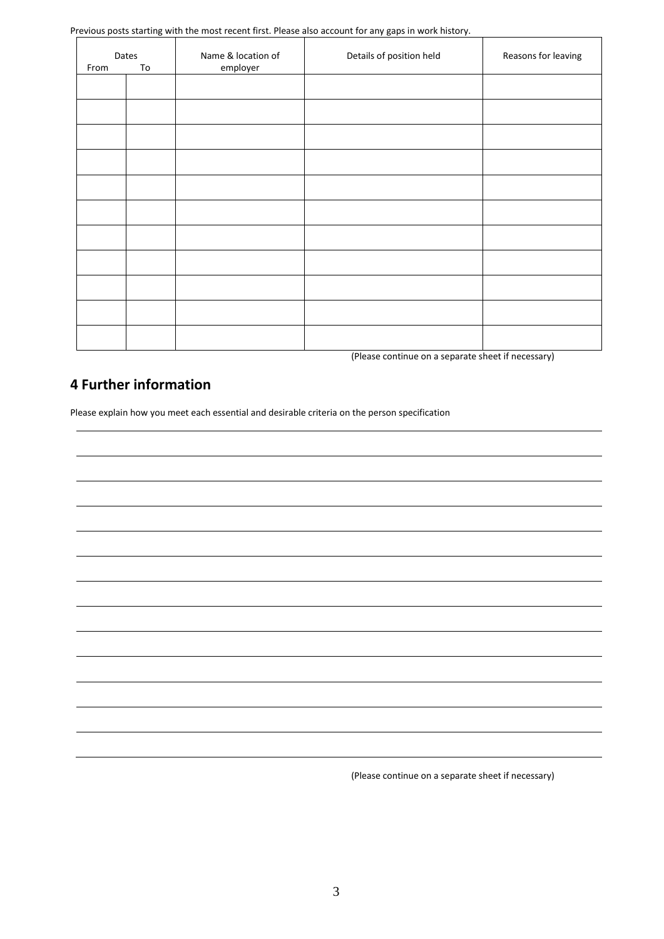Previous posts starting with the most recent first. Please also account for any gaps in work history.

| From | Dates<br>To | Name & location of<br>employer | Details of position held | Reasons for leaving |
|------|-------------|--------------------------------|--------------------------|---------------------|
|      |             |                                |                          |                     |
|      |             |                                |                          |                     |
|      |             |                                |                          |                     |
|      |             |                                |                          |                     |
|      |             |                                |                          |                     |
|      |             |                                |                          |                     |
|      |             |                                |                          |                     |
|      |             |                                |                          |                     |
|      |             |                                |                          |                     |
|      |             |                                |                          |                     |
|      |             |                                |                          |                     |

(Please continue on a separate sheet if necessary)

### **4 Further information**

Please explain how you meet each essential and desirable criteria on the person specification

(Please continue on a separate sheet if necessary)